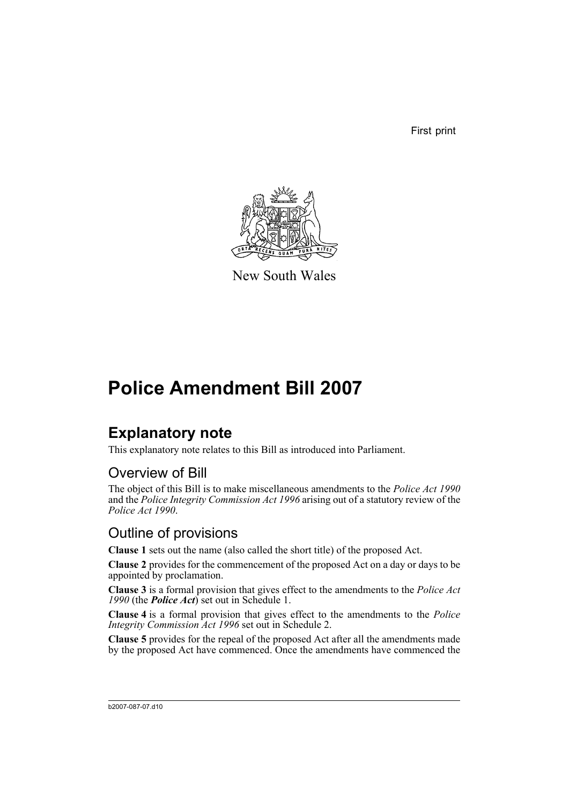First print



New South Wales

# **Police Amendment Bill 2007**

# **Explanatory note**

This explanatory note relates to this Bill as introduced into Parliament.

# Overview of Bill

The object of this Bill is to make miscellaneous amendments to the *Police Act 1990* and the *Police Integrity Commission Act 1996* arising out of a statutory review of the *Police Act 1990*.

# Outline of provisions

**Clause 1** sets out the name (also called the short title) of the proposed Act.

**Clause 2** provides for the commencement of the proposed Act on a day or days to be appointed by proclamation.

**Clause 3** is a formal provision that gives effect to the amendments to the *Police Act 1990* (the *Police Act*) set out in Schedule 1.

**Clause 4** is a formal provision that gives effect to the amendments to the *Police Integrity Commission Act 1996* set out in Schedule 2.

**Clause 5** provides for the repeal of the proposed Act after all the amendments made by the proposed Act have commenced. Once the amendments have commenced the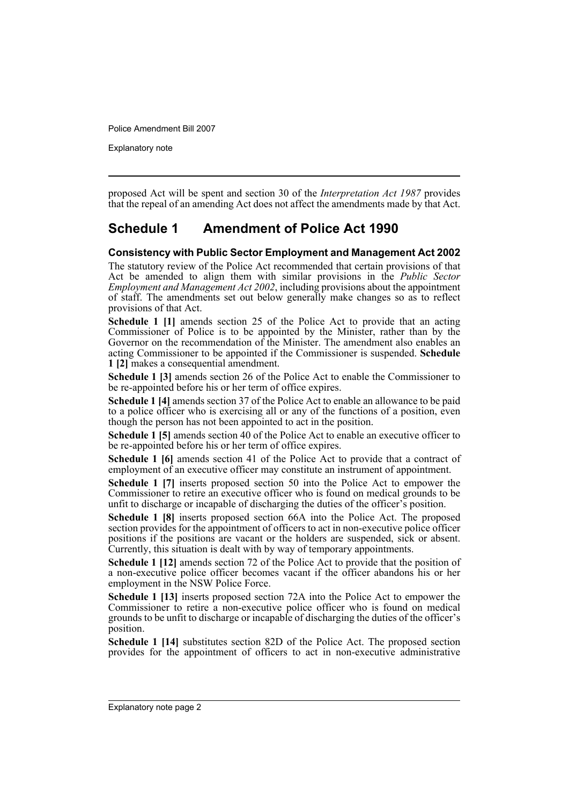Explanatory note

proposed Act will be spent and section 30 of the *Interpretation Act 1987* provides that the repeal of an amending Act does not affect the amendments made by that Act.

## **Schedule 1 Amendment of Police Act 1990**

### **Consistency with Public Sector Employment and Management Act 2002**

The statutory review of the Police Act recommended that certain provisions of that Act be amended to align them with similar provisions in the *Public Sector Employment and Management Act 2002*, including provisions about the appointment of staff. The amendments set out below generally make changes so as to reflect provisions of that Act.

**Schedule 1 [1]** amends section 25 of the Police Act to provide that an acting Commissioner of Police is to be appointed by the Minister, rather than by the Governor on the recommendation of the Minister. The amendment also enables an acting Commissioner to be appointed if the Commissioner is suspended. **Schedule 1 [2]** makes a consequential amendment.

**Schedule 1 [3]** amends section 26 of the Police Act to enable the Commissioner to be re-appointed before his or her term of office expires.

**Schedule 1 [4]** amends section 37 of the Police Act to enable an allowance to be paid to a police officer who is exercising all or any of the functions of a position, even though the person has not been appointed to act in the position.

**Schedule 1 [5]** amends section 40 of the Police Act to enable an executive officer to be re-appointed before his or her term of office expires.

**Schedule 1 [6]** amends section 41 of the Police Act to provide that a contract of employment of an executive officer may constitute an instrument of appointment.

**Schedule 1 [7]** inserts proposed section 50 into the Police Act to empower the Commissioner to retire an executive officer who is found on medical grounds to be unfit to discharge or incapable of discharging the duties of the officer's position.

**Schedule 1 [8]** inserts proposed section 66A into the Police Act. The proposed section provides for the appointment of officers to act in non-executive police officer positions if the positions are vacant or the holders are suspended, sick or absent. Currently, this situation is dealt with by way of temporary appointments.

**Schedule 1 [12]** amends section 72 of the Police Act to provide that the position of a non-executive police officer becomes vacant if the officer abandons his or her employment in the NSW Police Force.

**Schedule 1 [13]** inserts proposed section 72A into the Police Act to empower the Commissioner to retire a non-executive police officer who is found on medical grounds to be unfit to discharge or incapable of discharging the duties of the officer's position.

**Schedule 1 [14]** substitutes section 82D of the Police Act. The proposed section provides for the appointment of officers to act in non-executive administrative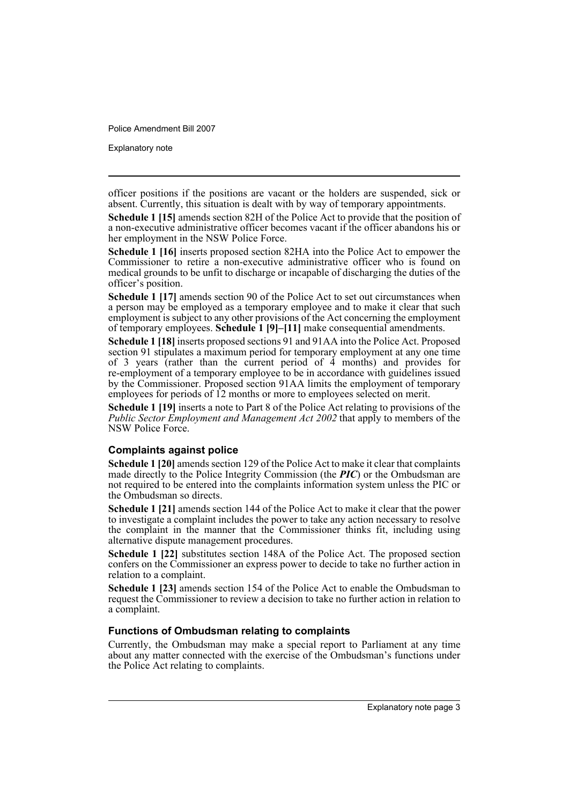Explanatory note

officer positions if the positions are vacant or the holders are suspended, sick or absent. Currently, this situation is dealt with by way of temporary appointments.

**Schedule 1 [15]** amends section 82H of the Police Act to provide that the position of a non-executive administrative officer becomes vacant if the officer abandons his or her employment in the NSW Police Force.

**Schedule 1 [16]** inserts proposed section 82HA into the Police Act to empower the Commissioner to retire a non-executive administrative officer who is found on medical grounds to be unfit to discharge or incapable of discharging the duties of the officer's position.

**Schedule 1 [17]** amends section 90 of the Police Act to set out circumstances when a person may be employed as a temporary employee and to make it clear that such employment is subject to any other provisions of the Act concerning the employment of temporary employees. **Schedule 1 [9]–[11]** make consequential amendments.

**Schedule 1 [18]** inserts proposed sections 91 and 91AA into the Police Act. Proposed section 91 stipulates a maximum period for temporary employment at any one time of 3 years (rather than the current period of  $\tilde{4}$  months) and provides for re-employment of a temporary employee to be in accordance with guidelines issued by the Commissioner. Proposed section 91AA limits the employment of temporary employees for periods of 12 months or more to employees selected on merit.

**Schedule 1 [19]** inserts a note to Part 8 of the Police Act relating to provisions of the *Public Sector Employment and Management Act 2002* that apply to members of the NSW Police Force.

## **Complaints against police**

**Schedule 1 [20]** amends section 129 of the Police Act to make it clear that complaints made directly to the Police Integrity Commission (the *PIC*) or the Ombudsman are not required to be entered into the complaints information system unless the PIC or the Ombudsman so directs.

**Schedule 1 [21]** amends section 144 of the Police Act to make it clear that the power to investigate a complaint includes the power to take any action necessary to resolve the complaint in the manner that the Commissioner thinks fit, including using alternative dispute management procedures.

**Schedule 1 [22]** substitutes section 148A of the Police Act. The proposed section confers on the Commissioner an express power to decide to take no further action in relation to a complaint.

**Schedule 1 [23]** amends section 154 of the Police Act to enable the Ombudsman to request the Commissioner to review a decision to take no further action in relation to a complaint.

## **Functions of Ombudsman relating to complaints**

Currently, the Ombudsman may make a special report to Parliament at any time about any matter connected with the exercise of the Ombudsman's functions under the Police Act relating to complaints.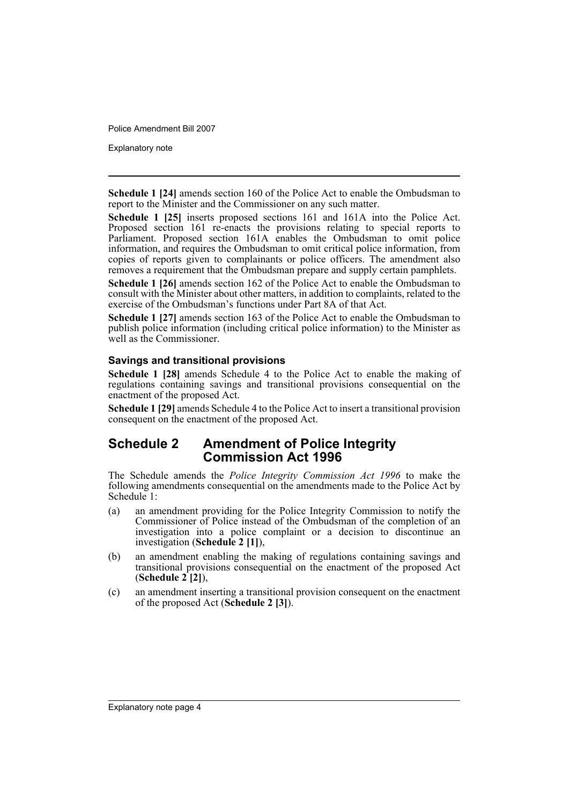Explanatory note

**Schedule 1 [24]** amends section 160 of the Police Act to enable the Ombudsman to report to the Minister and the Commissioner on any such matter.

**Schedule 1 [25]** inserts proposed sections 161 and 161A into the Police Act. Proposed section 161 re-enacts the provisions relating to special reports to Parliament. Proposed section 161A enables the Ombudsman to omit police information, and requires the Ombudsman to omit critical police information, from copies of reports given to complainants or police officers. The amendment also removes a requirement that the Ombudsman prepare and supply certain pamphlets.

**Schedule 1 [26]** amends section 162 of the Police Act to enable the Ombudsman to consult with the Minister about other matters, in addition to complaints, related to the exercise of the Ombudsman's functions under Part 8A of that Act.

**Schedule 1 [27]** amends section 163 of the Police Act to enable the Ombudsman to publish police information (including critical police information) to the Minister as well as the Commissioner.

## **Savings and transitional provisions**

**Schedule 1 [28]** amends Schedule 4 to the Police Act to enable the making of regulations containing savings and transitional provisions consequential on the enactment of the proposed Act.

**Schedule 1 [29]** amends Schedule 4 to the Police Act to insert a transitional provision consequent on the enactment of the proposed Act.

## **Schedule 2 Amendment of Police Integrity Commission Act 1996**

The Schedule amends the *Police Integrity Commission Act 1996* to make the following amendments consequential on the amendments made to the Police Act by Schedule<sup>1</sup>:

- (a) an amendment providing for the Police Integrity Commission to notify the Commissioner of Police instead of the Ombudsman of the completion of an investigation into a police complaint or a decision to discontinue an investigation (**Schedule 2 [1]**),
- (b) an amendment enabling the making of regulations containing savings and transitional provisions consequential on the enactment of the proposed Act (**Schedule 2 [2]**),
- (c) an amendment inserting a transitional provision consequent on the enactment of the proposed Act (**Schedule 2 [3]**).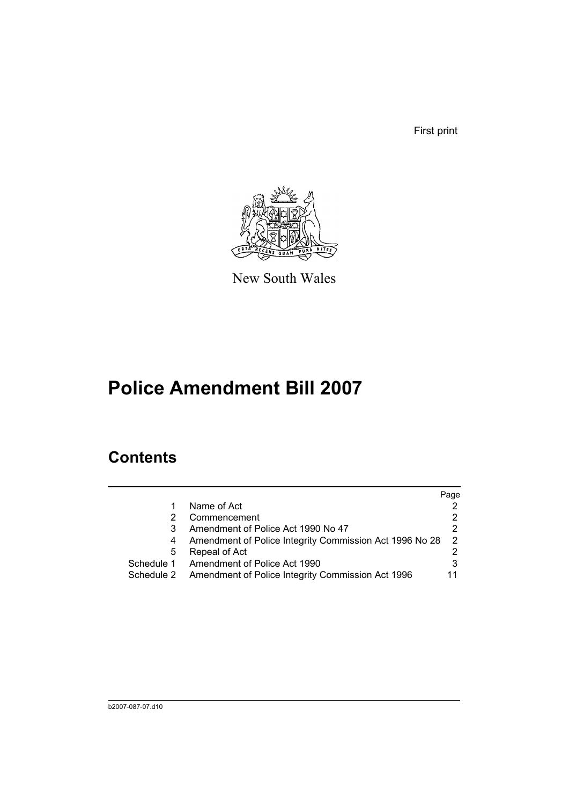First print



New South Wales

# **Police Amendment Bill 2007**

# **Contents**

|                                                                 | Page          |
|-----------------------------------------------------------------|---------------|
| Name of Act                                                     |               |
| Commencement                                                    | 2             |
| Amendment of Police Act 1990 No 47                              | 2             |
| Amendment of Police Integrity Commission Act 1996 No 28<br>4    | $\mathcal{P}$ |
| Repeal of Act<br>5                                              |               |
| Schedule 1<br>Amendment of Police Act 1990                      | 3             |
| Amendment of Police Integrity Commission Act 1996<br>Schedule 2 | 11            |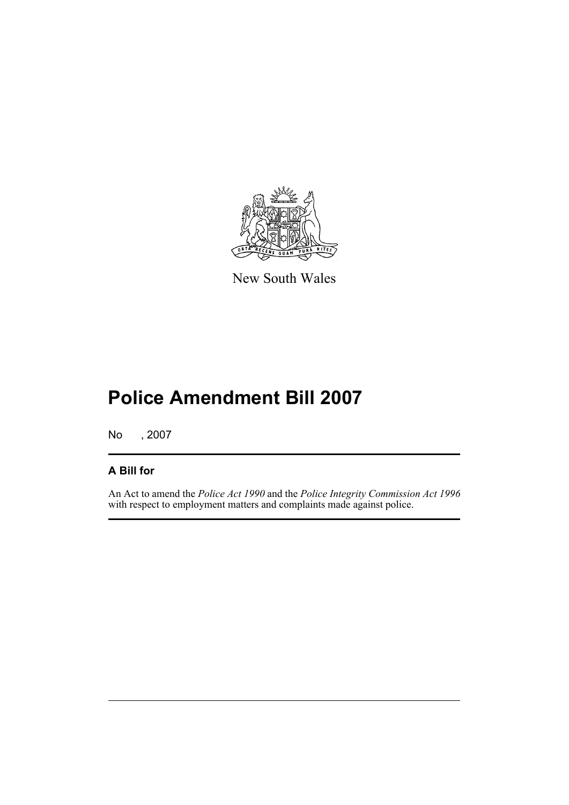

New South Wales

# **Police Amendment Bill 2007**

No , 2007

## **A Bill for**

An Act to amend the *Police Act 1990* and the *Police Integrity Commission Act 1996* with respect to employment matters and complaints made against police.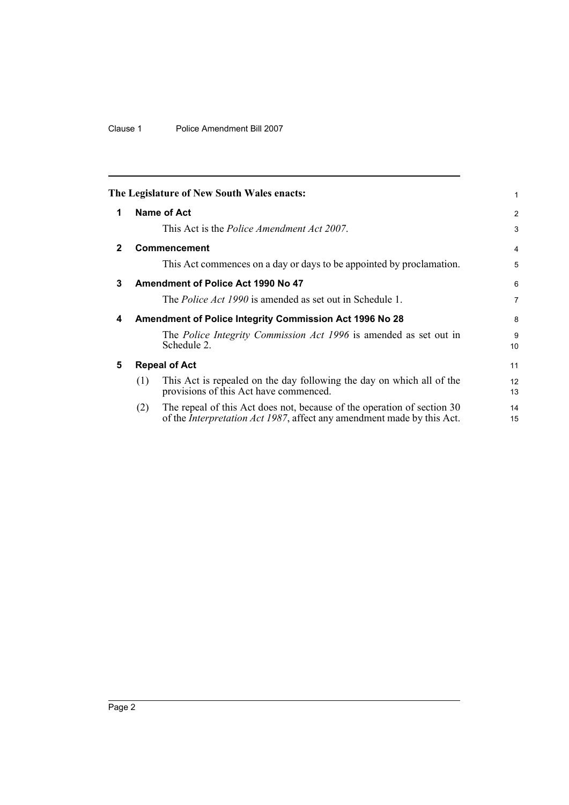## Clause 1 Police Amendment Bill 2007

<span id="page-7-4"></span><span id="page-7-3"></span><span id="page-7-2"></span><span id="page-7-1"></span><span id="page-7-0"></span>

|              | The Legislature of New South Wales enacts:                                                                                                                       | 1              |
|--------------|------------------------------------------------------------------------------------------------------------------------------------------------------------------|----------------|
| 1            | Name of Act                                                                                                                                                      | 2              |
|              | This Act is the <i>Police Amendment Act 2007</i> .                                                                                                               | 3              |
| $\mathbf{2}$ | Commencement                                                                                                                                                     | 4              |
|              | This Act commences on a day or days to be appointed by proclamation.                                                                                             | 5              |
| 3            | Amendment of Police Act 1990 No 47                                                                                                                               | 6              |
|              | The <i>Police Act 1990</i> is amended as set out in Schedule 1.                                                                                                  | $\overline{7}$ |
| 4            | <b>Amendment of Police Integrity Commission Act 1996 No 28</b>                                                                                                   | 8              |
|              | The <i>Police Integrity Commission Act 1996</i> is amended as set out in<br>Schedule 2.                                                                          | 9<br>10        |
| 5            | <b>Repeal of Act</b>                                                                                                                                             | 11             |
|              | This Act is repealed on the day following the day on which all of the<br>(1)<br>provisions of this Act have commenced.                                           | 12<br>13       |
|              | The repeal of this Act does not, because of the operation of section 30<br>(2)<br>of the <i>Interpretation Act 1987</i> , affect any amendment made by this Act. | 14<br>15       |
|              |                                                                                                                                                                  |                |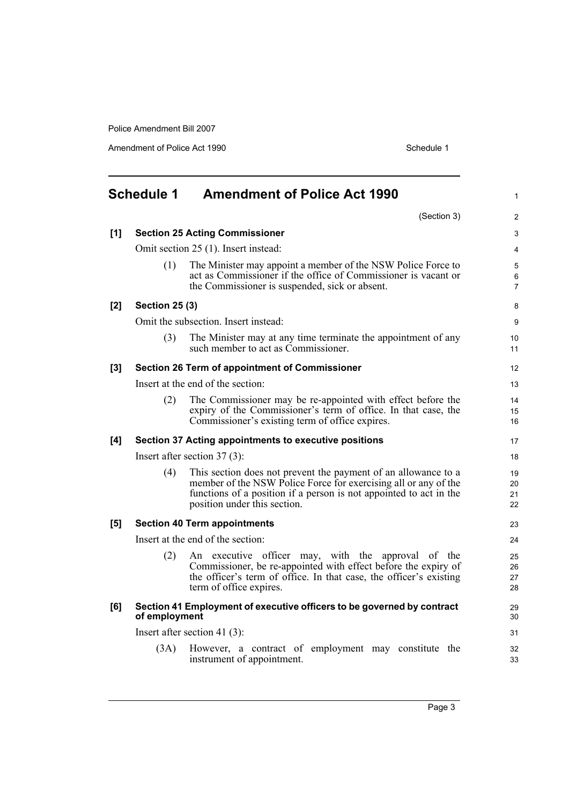Amendment of Police Act 1990 Schedule 1

<span id="page-8-0"></span>

|     | <b>Schedule 1</b>     | <b>Amendment of Police Act 1990</b>                                                                                                                                                                                                     | $\mathbf{1}$             |
|-----|-----------------------|-----------------------------------------------------------------------------------------------------------------------------------------------------------------------------------------------------------------------------------------|--------------------------|
|     |                       | (Section 3)                                                                                                                                                                                                                             | 2                        |
| [1] |                       | <b>Section 25 Acting Commissioner</b>                                                                                                                                                                                                   | 3                        |
|     |                       | Omit section 25 (1). Insert instead:                                                                                                                                                                                                    | $\overline{4}$           |
|     | (1)                   | The Minister may appoint a member of the NSW Police Force to<br>act as Commissioner if the office of Commissioner is vacant or<br>the Commissioner is suspended, sick or absent.                                                        | 5<br>6<br>$\overline{7}$ |
| [2] | <b>Section 25 (3)</b> |                                                                                                                                                                                                                                         | 8                        |
|     |                       | Omit the subsection. Insert instead:                                                                                                                                                                                                    | 9                        |
|     | (3)                   | The Minister may at any time terminate the appointment of any<br>such member to act as Commissioner.                                                                                                                                    | 10 <sup>1</sup><br>11    |
| [3] |                       | Section 26 Term of appointment of Commissioner                                                                                                                                                                                          | 12                       |
|     |                       | Insert at the end of the section:                                                                                                                                                                                                       | 13                       |
|     | (2)                   | The Commissioner may be re-appointed with effect before the<br>expiry of the Commissioner's term of office. In that case, the<br>Commissioner's existing term of office expires.                                                        | 14<br>15<br>16           |
| [4] |                       | Section 37 Acting appointments to executive positions                                                                                                                                                                                   | 17                       |
|     |                       | Insert after section $37(3)$ :                                                                                                                                                                                                          | 18                       |
|     | (4)                   | This section does not prevent the payment of an allowance to a<br>member of the NSW Police Force for exercising all or any of the<br>functions of a position if a person is not appointed to act in the<br>position under this section. | 19<br>20<br>21<br>22     |
| [5] |                       | <b>Section 40 Term appointments</b>                                                                                                                                                                                                     | 23                       |
|     |                       | Insert at the end of the section:                                                                                                                                                                                                       | 24                       |
|     | (2)                   | An executive officer may, with the approval of the<br>Commissioner, be re-appointed with effect before the expiry of<br>the officer's term of office. In that case, the officer's existing<br>term of office expires.                   | 25<br>26<br>27<br>28     |
| [6] | of employment         | Section 41 Employment of executive officers to be governed by contract                                                                                                                                                                  | 29<br>30                 |
|     |                       | Insert after section 41 $(3)$ :                                                                                                                                                                                                         | 31                       |
|     | (3A)                  | However, a contract of employment may constitute the<br>instrument of appointment.                                                                                                                                                      | 32<br>33                 |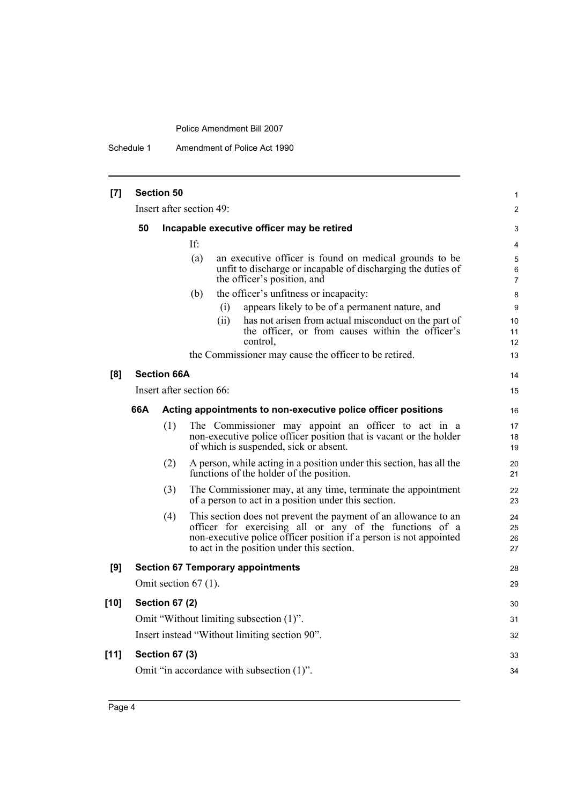Schedule 1 Amendment of Police Act 1990

| [7]    |     | <b>Section 50</b>     |                                                                                                                                                                                                                                                | 1                    |
|--------|-----|-----------------------|------------------------------------------------------------------------------------------------------------------------------------------------------------------------------------------------------------------------------------------------|----------------------|
|        |     |                       | Insert after section 49:                                                                                                                                                                                                                       | $\overline{2}$       |
|        | 50  |                       | Incapable executive officer may be retired                                                                                                                                                                                                     | 3                    |
|        |     |                       | If:                                                                                                                                                                                                                                            | 4                    |
|        |     |                       | (a)<br>an executive officer is found on medical grounds to be<br>unfit to discharge or incapable of discharging the duties of<br>the officer's position, and                                                                                   | 5<br>6<br>7          |
|        |     |                       | the officer's unfitness or incapacity:<br>(b)                                                                                                                                                                                                  | 8                    |
|        |     |                       | appears likely to be of a permanent nature, and<br>(i)                                                                                                                                                                                         | 9                    |
|        |     |                       | (ii)<br>has not arisen from actual misconduct on the part of<br>the officer, or from causes within the officer's<br>control,                                                                                                                   | 10<br>11<br>12       |
|        |     |                       | the Commissioner may cause the officer to be retired.                                                                                                                                                                                          | 13                   |
| [8]    |     | <b>Section 66A</b>    |                                                                                                                                                                                                                                                | 14                   |
|        |     |                       | Insert after section 66:                                                                                                                                                                                                                       | 15                   |
|        | 66A |                       | Acting appointments to non-executive police officer positions                                                                                                                                                                                  | 16                   |
|        |     | (1)                   | The Commissioner may appoint an officer to act in a<br>non-executive police officer position that is vacant or the holder<br>of which is suspended, sick or absent.                                                                            | 17<br>18<br>19       |
|        |     | (2)                   | A person, while acting in a position under this section, has all the<br>functions of the holder of the position.                                                                                                                               | 20<br>21             |
|        |     | (3)                   | The Commissioner may, at any time, terminate the appointment<br>of a person to act in a position under this section.                                                                                                                           | 22<br>23             |
|        |     | (4)                   | This section does not prevent the payment of an allowance to an<br>officer for exercising all or any of the functions of a<br>non-executive police officer position if a person is not appointed<br>to act in the position under this section. | 24<br>25<br>26<br>27 |
| [9]    |     |                       | <b>Section 67 Temporary appointments</b>                                                                                                                                                                                                       | 28                   |
|        |     |                       | Omit section $67$ (1).                                                                                                                                                                                                                         | 29                   |
| $[10]$ |     | <b>Section 67 (2)</b> |                                                                                                                                                                                                                                                | 30                   |
|        |     |                       | Omit "Without limiting subsection (1)".                                                                                                                                                                                                        | 31                   |
|        |     |                       | Insert instead "Without limiting section 90".                                                                                                                                                                                                  | 32                   |
| $[11]$ |     | <b>Section 67 (3)</b> |                                                                                                                                                                                                                                                | 33                   |
|        |     |                       | Omit "in accordance with subsection (1)".                                                                                                                                                                                                      | 34                   |
|        |     |                       |                                                                                                                                                                                                                                                |                      |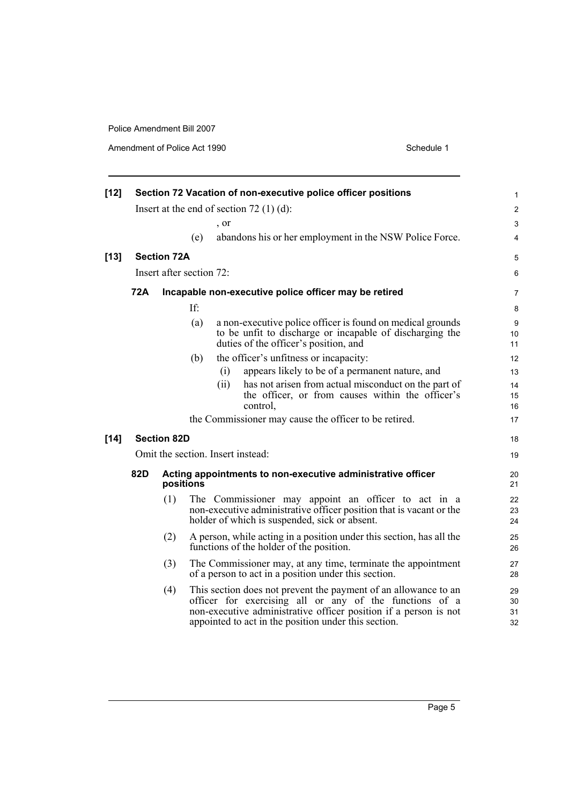Amendment of Police Act 1990 Schedule 1

| $[12]$ |            |                    |                          |      | Section 72 Vacation of non-executive police officer positions                                                                                                                                                                                          | $\mathbf{1}$                 |
|--------|------------|--------------------|--------------------------|------|--------------------------------------------------------------------------------------------------------------------------------------------------------------------------------------------------------------------------------------------------------|------------------------------|
|        |            |                    |                          |      | Insert at the end of section $72(1)(d)$ :                                                                                                                                                                                                              | $\overline{\mathbf{c}}$      |
|        |            |                    |                          | , or |                                                                                                                                                                                                                                                        | 3                            |
|        |            |                    | (e)                      |      | abandons his or her employment in the NSW Police Force.                                                                                                                                                                                                | 4                            |
| $[13]$ |            | <b>Section 72A</b> |                          |      |                                                                                                                                                                                                                                                        | 5                            |
|        |            |                    | Insert after section 72: |      |                                                                                                                                                                                                                                                        | 6                            |
|        | <b>72A</b> |                    |                          |      | Incapable non-executive police officer may be retired                                                                                                                                                                                                  | 7                            |
|        |            |                    | If:                      |      |                                                                                                                                                                                                                                                        | 8                            |
|        |            |                    | (a)                      |      | a non-executive police officer is found on medical grounds<br>to be unfit to discharge or incapable of discharging the<br>duties of the officer's position, and                                                                                        | $\boldsymbol{9}$<br>10<br>11 |
|        |            |                    | (b)                      |      | the officer's unfitness or incapacity:                                                                                                                                                                                                                 | 12                           |
|        |            |                    |                          | (i)  | appears likely to be of a permanent nature, and                                                                                                                                                                                                        | 13                           |
|        |            |                    |                          | (ii) | has not arisen from actual misconduct on the part of<br>the officer, or from causes within the officer's<br>control,                                                                                                                                   | 14<br>15<br>16               |
|        |            |                    |                          |      | the Commissioner may cause the officer to be retired.                                                                                                                                                                                                  | 17                           |
| $[14]$ |            | <b>Section 82D</b> |                          |      |                                                                                                                                                                                                                                                        | 18                           |
|        |            |                    |                          |      | Omit the section. Insert instead:                                                                                                                                                                                                                      | 19                           |
|        | 82D        | positions          |                          |      | Acting appointments to non-executive administrative officer                                                                                                                                                                                            | 20<br>21                     |
|        |            | (1)                |                          |      | The Commissioner may appoint an officer to act in a<br>non-executive administrative officer position that is vacant or the<br>holder of which is suspended, sick or absent.                                                                            | 22<br>23<br>24               |
|        |            | (2)                |                          |      | A person, while acting in a position under this section, has all the<br>functions of the holder of the position.                                                                                                                                       | 25<br>26                     |
|        |            | (3)                |                          |      | The Commissioner may, at any time, terminate the appointment<br>of a person to act in a position under this section.                                                                                                                                   | 27<br>28                     |
|        |            | (4)                |                          |      | This section does not prevent the payment of an allowance to an<br>officer for exercising all or any of the functions of a<br>non-executive administrative officer position if a person is not<br>appointed to act in the position under this section. | 29<br>30<br>31<br>32         |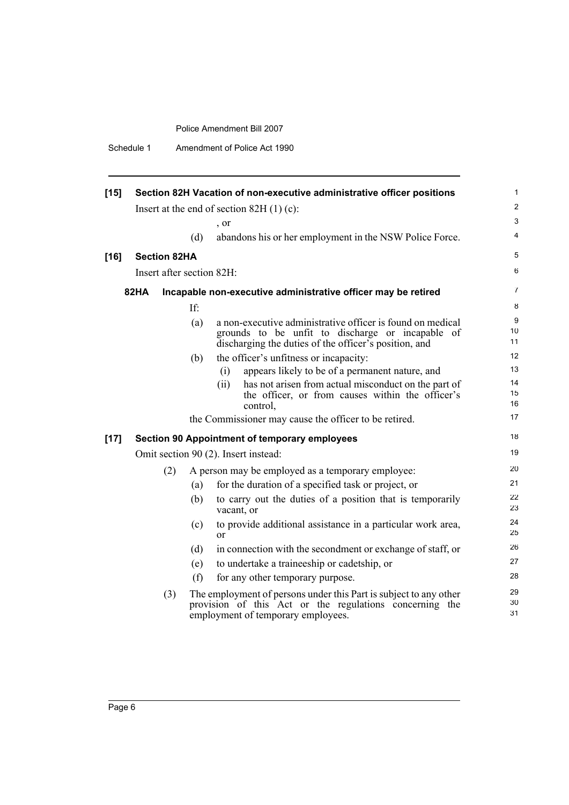| Schedule 1 | Amendment of Police Act 1990 |  |
|------------|------------------------------|--|
|------------|------------------------------|--|

| $[15]$ |                     |     | Section 82H Vacation of non-executive administrative officer positions                                                                                                  | 1                                         |
|--------|---------------------|-----|-------------------------------------------------------------------------------------------------------------------------------------------------------------------------|-------------------------------------------|
|        |                     |     |                                                                                                                                                                         | 2                                         |
|        |                     |     | Insert at the end of section 82H $(1)$ (c):                                                                                                                             | 3                                         |
|        |                     | (d) | , or                                                                                                                                                                    | 4                                         |
|        |                     |     | abandons his or her employment in the NSW Police Force.                                                                                                                 |                                           |
| $[16]$ | <b>Section 82HA</b> |     |                                                                                                                                                                         | 5                                         |
|        |                     |     | Insert after section 82H:                                                                                                                                               | 6                                         |
|        | <b>82HA</b>         |     | Incapable non-executive administrative officer may be retired                                                                                                           | $\overline{7}$                            |
|        |                     | If: |                                                                                                                                                                         | 8                                         |
|        |                     | (a) | a non-executive administrative officer is found on medical<br>grounds to be unfit to discharge or incapable of<br>discharging the duties of the officer's position, and | $\boldsymbol{9}$<br>10 <sup>1</sup><br>11 |
|        |                     | (b) | the officer's unfitness or incapacity:                                                                                                                                  | 12                                        |
|        |                     |     | appears likely to be of a permanent nature, and<br>(i)                                                                                                                  | 13                                        |
|        |                     |     | has not arisen from actual misconduct on the part of<br>(ii)<br>the officer, or from causes within the officer's<br>control.                                            | 14<br>15<br>16                            |
|        |                     |     | the Commissioner may cause the officer to be retired.                                                                                                                   | 17                                        |
| $[17]$ |                     |     | <b>Section 90 Appointment of temporary employees</b>                                                                                                                    | 18                                        |
|        |                     |     | Omit section 90 (2). Insert instead:                                                                                                                                    | 19                                        |
|        |                     | (2) | A person may be employed as a temporary employee:                                                                                                                       | 20                                        |
|        |                     | (a) | for the duration of a specified task or project, or                                                                                                                     | 21                                        |
|        |                     | (b) | to carry out the duties of a position that is temporarily<br>vacant, or                                                                                                 | 22<br>23                                  |
|        |                     | (c) | to provide additional assistance in a particular work area,<br><sub>or</sub>                                                                                            | 24<br>25                                  |
|        |                     | (d) | in connection with the secondment or exchange of staff, or                                                                                                              | 26                                        |
|        |                     | (e) | to undertake a traineeship or cadetship, or                                                                                                                             | 27                                        |
|        |                     | (f) | for any other temporary purpose.                                                                                                                                        | 28                                        |
|        |                     | (3) | The employment of persons under this Part is subject to any other<br>provision of this Act or the regulations concerning the<br>employment of temporary employees.      | 29<br>30<br>31                            |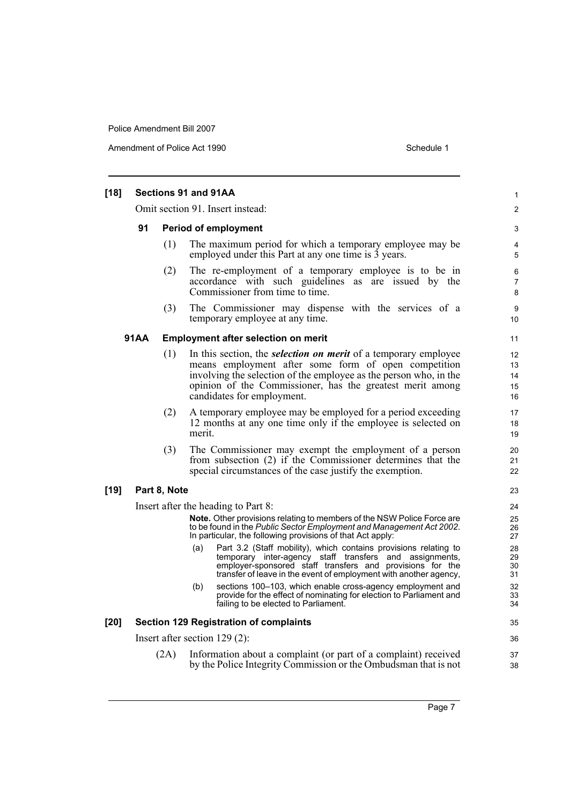Amendment of Police Act 1990 Schedule 1

| $[18]$                 | Sections 91 and 91AA            |                                                                                                                                                                                                                                                                                                |                            |  |  |  |
|------------------------|---------------------------------|------------------------------------------------------------------------------------------------------------------------------------------------------------------------------------------------------------------------------------------------------------------------------------------------|----------------------------|--|--|--|
|                        |                                 | Omit section 91. Insert instead:                                                                                                                                                                                                                                                               | 2                          |  |  |  |
| 91                     | <b>Period of employment</b>     |                                                                                                                                                                                                                                                                                                |                            |  |  |  |
|                        | (1)                             | The maximum period for which a temporary employee may be<br>employed under this Part at any one time is 3 years.                                                                                                                                                                               | 4<br>5                     |  |  |  |
|                        | (2)                             | The re-employment of a temporary employee is to be in<br>accordance with such guidelines as are issued by the<br>Commissioner from time to time.                                                                                                                                               | 6<br>$\overline{7}$<br>8   |  |  |  |
|                        | (3)                             | The Commissioner may dispense with the services of a<br>temporary employee at any time.                                                                                                                                                                                                        | 9<br>10                    |  |  |  |
| <b>91AA</b>            |                                 | <b>Employment after selection on merit</b>                                                                                                                                                                                                                                                     | 11                         |  |  |  |
|                        | (1)                             | In this section, the <i>selection on merit</i> of a temporary employee<br>means employment after some form of open competition<br>involving the selection of the employee as the person who, in the<br>opinion of the Commissioner, has the greatest merit among<br>candidates for employment. | 12<br>13<br>14<br>15<br>16 |  |  |  |
|                        | (2)<br>merit.                   | A temporary employee may be employed for a period exceeding<br>12 months at any one time only if the employee is selected on                                                                                                                                                                   | 17<br>18<br>19             |  |  |  |
|                        | (3)                             | The Commissioner may exempt the employment of a person<br>from subsection (2) if the Commissioner determines that the<br>special circumstances of the case justify the exemption.                                                                                                              | 20<br>21<br>22             |  |  |  |
| Part 8, Note<br>$[19]$ |                                 |                                                                                                                                                                                                                                                                                                | 23                         |  |  |  |
|                        |                                 | Insert after the heading to Part 8:                                                                                                                                                                                                                                                            | 24                         |  |  |  |
|                        |                                 | <b>Note.</b> Other provisions relating to members of the NSW Police Force are<br>to be found in the Public Sector Employment and Management Act 2002.<br>In particular, the following provisions of that Act apply:                                                                            | 25<br>26<br>27             |  |  |  |
|                        | (a)                             | Part 3.2 (Staff mobility), which contains provisions relating to<br>temporary inter-agency staff transfers and assignments,<br>employer-sponsored staff transfers and provisions for the<br>transfer of leave in the event of employment with another agency,                                  | 28<br>29<br>30<br>31       |  |  |  |
|                        | (b)                             | sections 100-103, which enable cross-agency employment and<br>provide for the effect of nominating for election to Parliament and<br>failing to be elected to Parliament.                                                                                                                      | 32<br>33<br>34             |  |  |  |
| $[20]$                 |                                 | <b>Section 129 Registration of complaints</b>                                                                                                                                                                                                                                                  | 35                         |  |  |  |
|                        | Insert after section $129(2)$ : |                                                                                                                                                                                                                                                                                                | 36                         |  |  |  |
| (2A)                   |                                 | Information about a complaint (or part of a complaint) received<br>by the Police Integrity Commission or the Ombudsman that is not                                                                                                                                                             | 37<br>38                   |  |  |  |

Page 7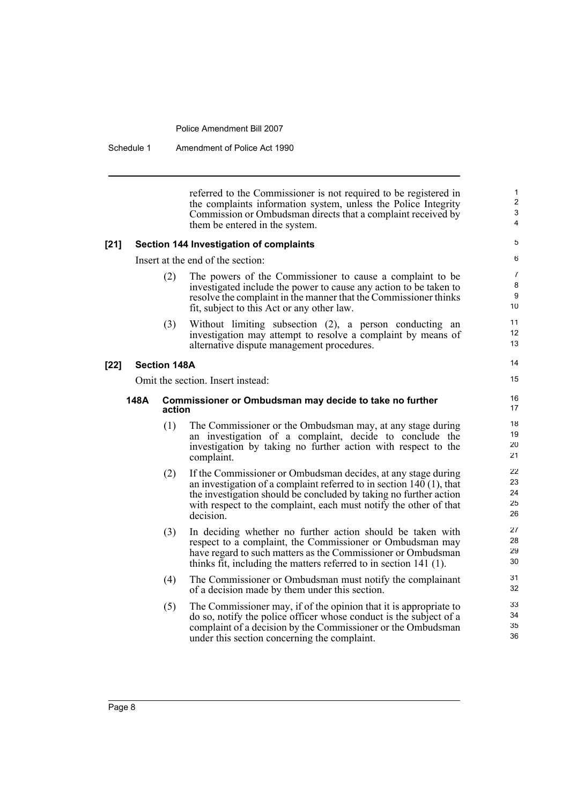Schedule 1 Amendment of Police Act 1990

referred to the Commissioner is not required to be registered in the complaints information system, unless the Police Integrity Commission or Ombudsman directs that a complaint received by them be entered in the system.

#### **[21] Section 144 Investigation of complaints**

Insert at the end of the section:

- (2) The powers of the Commissioner to cause a complaint to be investigated include the power to cause any action to be taken to resolve the complaint in the manner that the Commissioner thinks fit, subject to this Act or any other law.
- (3) Without limiting subsection (2), a person conducting an investigation may attempt to resolve a complaint by means of alternative dispute management procedures.

#### **[22] Section 148A**

Omit the section. Insert instead:

#### **148A Commissioner or Ombudsman may decide to take no further action**

- (1) The Commissioner or the Ombudsman may, at any stage during an investigation of a complaint, decide to conclude the investigation by taking no further action with respect to the complaint.
- (2) If the Commissioner or Ombudsman decides, at any stage during an investigation of a complaint referred to in section 140 (1), that the investigation should be concluded by taking no further action with respect to the complaint, each must notify the other of that decision.
- (3) In deciding whether no further action should be taken with respect to a complaint, the Commissioner or Ombudsman may have regard to such matters as the Commissioner or Ombudsman thinks fit, including the matters referred to in section 141 (1).
- (4) The Commissioner or Ombudsman must notify the complainant of a decision made by them under this section.
- (5) The Commissioner may, if of the opinion that it is appropriate to do so, notify the police officer whose conduct is the subject of a complaint of a decision by the Commissioner or the Ombudsman under this section concerning the complaint.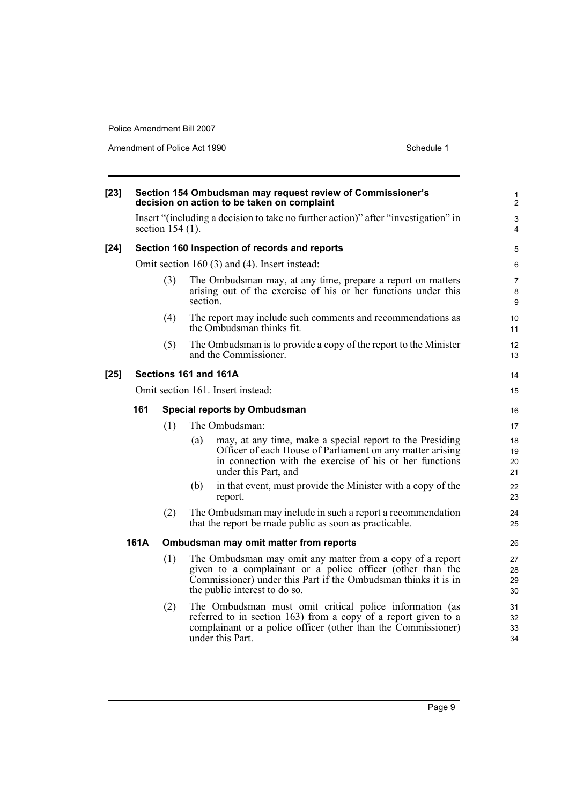Amendment of Police Act 1990 Schedule 1

| $[23]$ |                                                |                                     | Section 154 Ombudsman may request review of Commissioner's<br>decision on action to be taken on complaint                                                                                                                  | $\mathbf{1}$<br>$\overline{2}$ |
|--------|------------------------------------------------|-------------------------------------|----------------------------------------------------------------------------------------------------------------------------------------------------------------------------------------------------------------------------|--------------------------------|
|        |                                                | section $154(1)$ .                  | Insert "(including a decision to take no further action)" after "investigation" in                                                                                                                                         | $\mathsf 3$<br>$\overline{4}$  |
| $[24]$ |                                                |                                     | Section 160 Inspection of records and reports                                                                                                                                                                              | 5                              |
|        |                                                |                                     | Omit section $160(3)$ and $(4)$ . Insert instead:                                                                                                                                                                          | 6                              |
|        |                                                | (3)                                 | The Ombudsman may, at any time, prepare a report on matters<br>arising out of the exercise of his or her functions under this<br>section.                                                                                  | $\overline{7}$<br>8<br>9       |
|        |                                                | (4)                                 | The report may include such comments and recommendations as<br>the Ombudsman thinks fit.                                                                                                                                   | 10<br>11                       |
|        |                                                | (5)                                 | The Ombudsman is to provide a copy of the report to the Minister<br>and the Commissioner.                                                                                                                                  | 12<br>13                       |
| $[25]$ |                                                |                                     | Sections 161 and 161A                                                                                                                                                                                                      | 14                             |
|        | Omit section 161. Insert instead:              |                                     |                                                                                                                                                                                                                            | 15                             |
|        | 161                                            | <b>Special reports by Ombudsman</b> |                                                                                                                                                                                                                            |                                |
|        |                                                | (1)                                 | The Ombudsman:                                                                                                                                                                                                             | 17                             |
|        |                                                |                                     | may, at any time, make a special report to the Presiding<br>(a)<br>Officer of each House of Parliament on any matter arising<br>in connection with the exercise of his or her functions<br>under this Part, and            | 18<br>19<br>20<br>21           |
|        |                                                |                                     | in that event, must provide the Minister with a copy of the<br>(b)<br>report.                                                                                                                                              | 22<br>23                       |
|        |                                                | (2)                                 | The Ombudsman may include in such a report a recommendation<br>that the report be made public as soon as practicable.                                                                                                      | 24<br>25                       |
|        | 161A<br>Ombudsman may omit matter from reports |                                     |                                                                                                                                                                                                                            | 26                             |
|        |                                                | (1)                                 | The Ombudsman may omit any matter from a copy of a report<br>given to a complainant or a police officer (other than the<br>Commissioner) under this Part if the Ombudsman thinks it is in<br>the public interest to do so. | 27<br>28<br>29<br>30           |
|        |                                                | (2)                                 | The Ombudsman must omit critical police information (as<br>referred to in section 163) from a copy of a report given to a<br>complainant or a police officer (other than the Commissioner)<br>under this Part.             | 31<br>32<br>33<br>34           |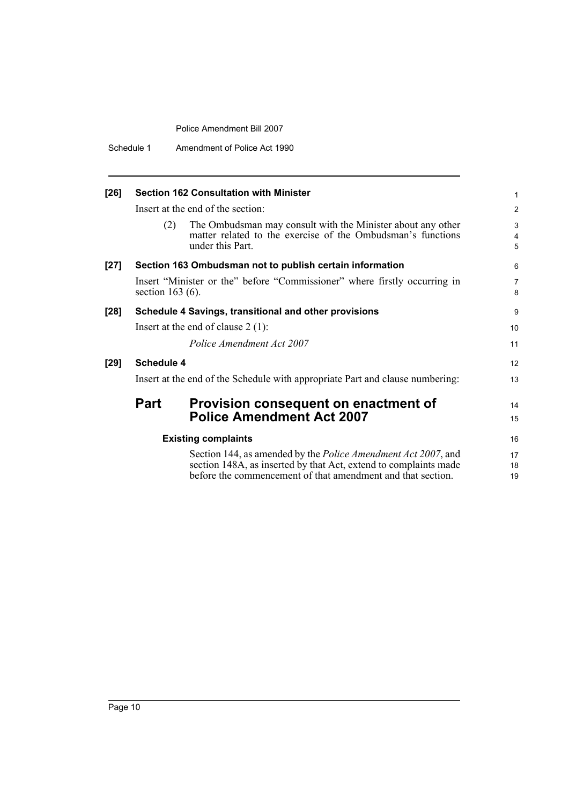Schedule 1 Amendment of Police Act 1990

| $[26]$ |                            | <b>Section 162 Consultation with Minister</b>                                                                                                                                                            | 1              |  |  |
|--------|----------------------------|----------------------------------------------------------------------------------------------------------------------------------------------------------------------------------------------------------|----------------|--|--|
|        |                            | Insert at the end of the section:                                                                                                                                                                        | $\overline{c}$ |  |  |
|        | (2)                        | The Ombudsman may consult with the Minister about any other<br>matter related to the exercise of the Ombudsman's functions<br>under this Part.                                                           | 3<br>4<br>5    |  |  |
| $[27]$ |                            | Section 163 Ombudsman not to publish certain information                                                                                                                                                 | 6              |  |  |
|        | section $163(6)$ .         | Insert "Minister or the" before "Commissioner" where firstly occurring in                                                                                                                                | 7<br>8         |  |  |
| $[28]$ |                            | Schedule 4 Savings, transitional and other provisions                                                                                                                                                    | 9              |  |  |
|        |                            | Insert at the end of clause $2(1)$ :                                                                                                                                                                     | 10             |  |  |
|        |                            | Police Amendment Act 2007                                                                                                                                                                                | 11             |  |  |
| $[29]$ | <b>Schedule 4</b>          |                                                                                                                                                                                                          | 12             |  |  |
|        |                            | Insert at the end of the Schedule with appropriate Part and clause numbering:                                                                                                                            | 13             |  |  |
|        | Part                       | Provision consequent on enactment of                                                                                                                                                                     | 14             |  |  |
|        |                            | <b>Police Amendment Act 2007</b>                                                                                                                                                                         | 15             |  |  |
|        | <b>Existing complaints</b> |                                                                                                                                                                                                          |                |  |  |
|        |                            | Section 144, as amended by the <i>Police Amendment Act 2007</i> , and<br>section 148A, as inserted by that Act, extend to complaints made<br>before the commencement of that amendment and that section. | 17<br>18<br>19 |  |  |